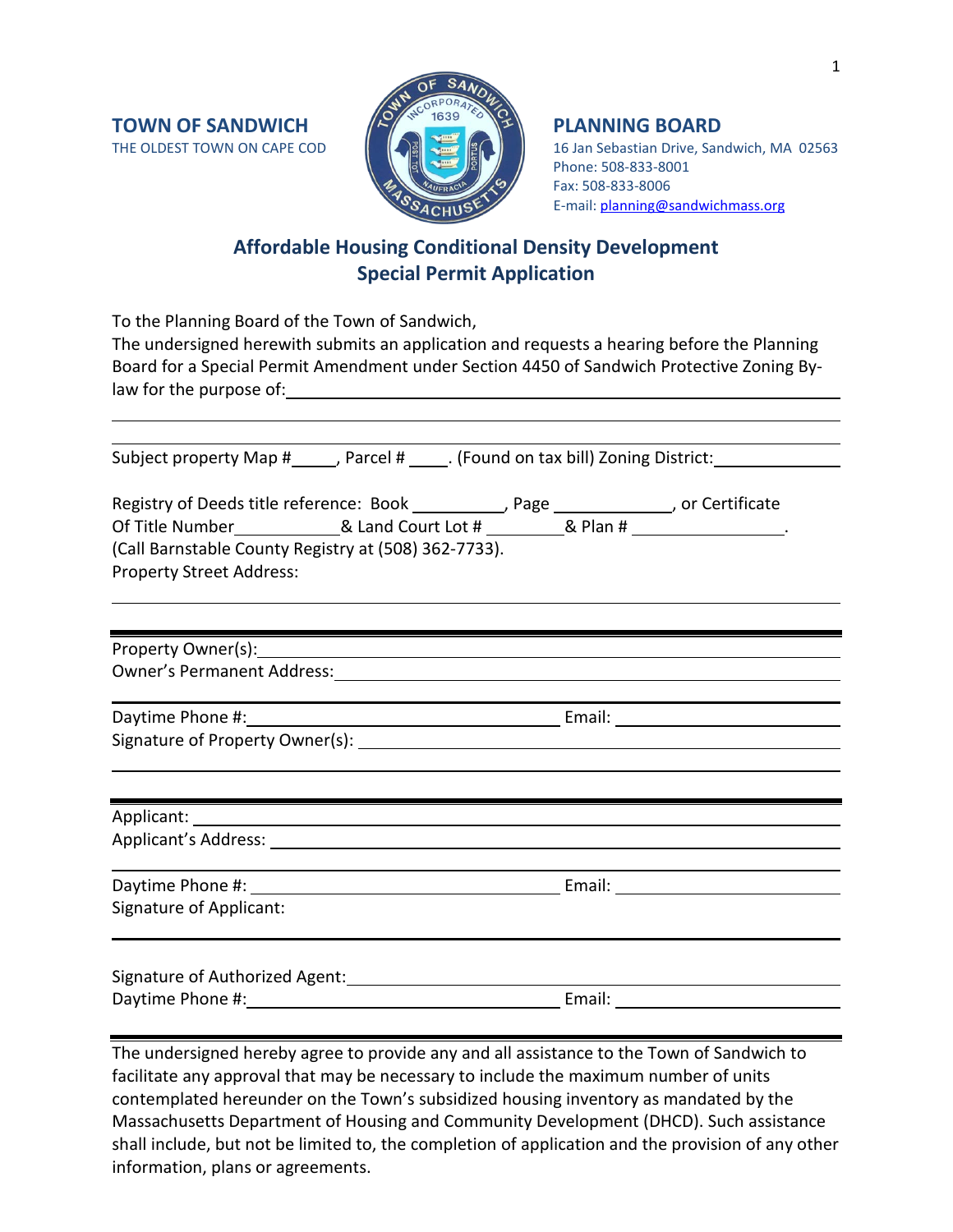

THE OLDEST TOWN ON CAPE COD **16 Jan Strategy (2008)** 16 Jan Sebastian Drive, Sandwich, MA 02563 Phone: 508-833-8001 Fax: 508-833-8006 E-mail: [planning@sandwichmass.org](mailto:planning@sandwichmass.org)

# **Affordable Housing Conditional Density Development Special Permit Application**

To the Planning Board of the Town of Sandwich,

The undersigned herewith submits an application and requests a hearing before the Planning Board for a Special Permit Amendment under Section 4450 of Sandwich Protective Zoning Bylaw for the purpose of:

Subject property Map #\_\_\_\_\_, Parcel # \_\_\_\_\_. (Found on tax bill) Zoning District:

| Registry of Deeds title reference: Book<br>Page |                                                      |          | , or Certificate |
|-------------------------------------------------|------------------------------------------------------|----------|------------------|
| Of Title Number                                 | & Land Court Lot #                                   | & Plan # |                  |
|                                                 | (Call Barnstable County Registry at (508) 362-7733). |          |                  |
| <b>Property Street Address:</b>                 |                                                      |          |                  |

Property Owner(s): Owner's Permanent Address:

Daytime Phone #: example and a set of the Email: Email: Signature of Property Owner(s):

| Applicant: 1997<br>Applicant's Address: |        |  |
|-----------------------------------------|--------|--|
| Signature of Applicant:                 |        |  |
| Signature of Authorized Agent:          | Email: |  |

The undersigned hereby agree to provide any and all assistance to the Town of Sandwich to facilitate any approval that may be necessary to include the maximum number of units contemplated hereunder on the Town's subsidized housing inventory as mandated by the Massachusetts Department of Housing and Community Development (DHCD). Such assistance shall include, but not be limited to, the completion of application and the provision of any other information, plans or agreements.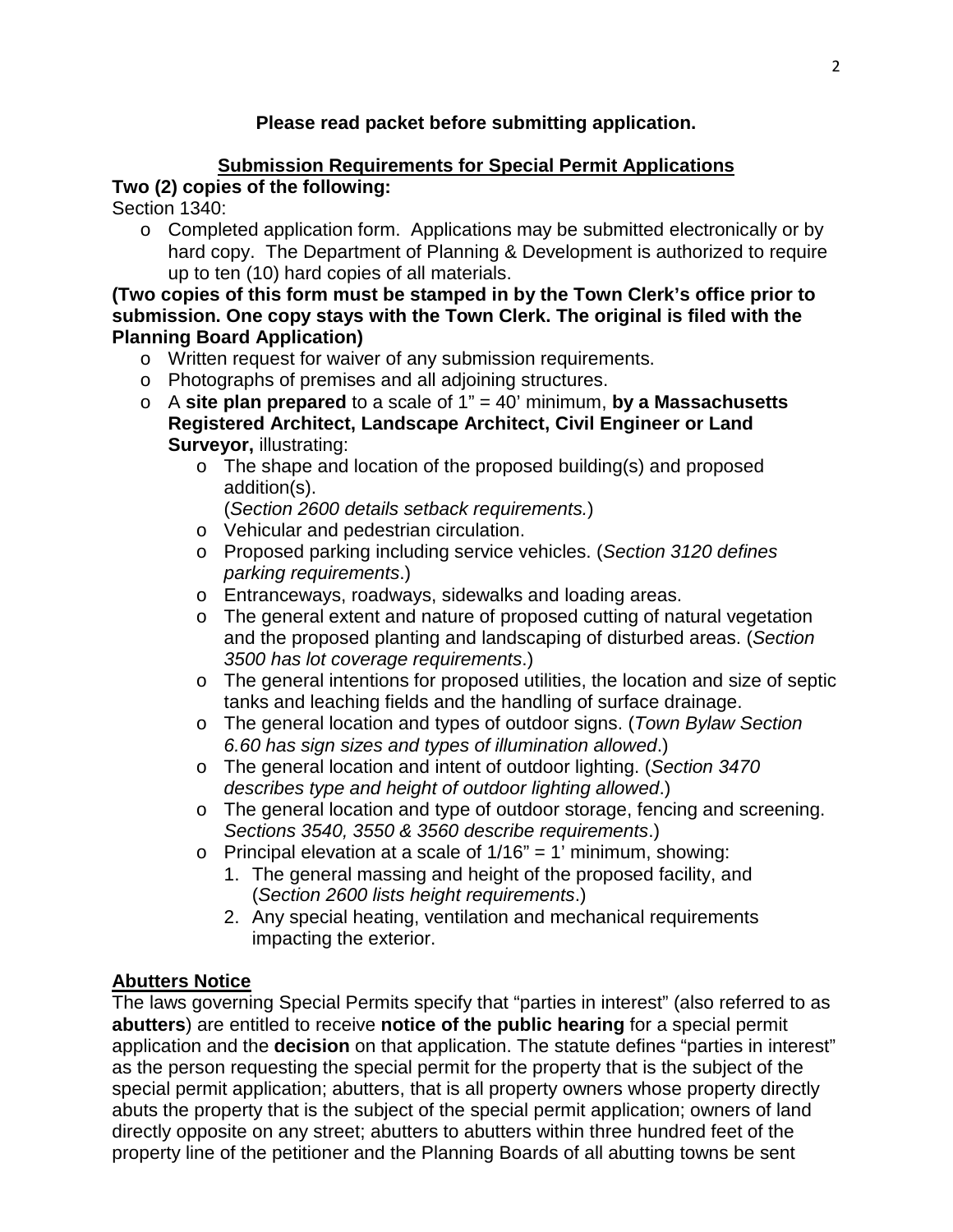## **Please read packet before submitting application.**

## **Submission Requirements for Special Permit Applications Two (2) copies of the following:**

Section 1340:

o Completed application form. Applications may be submitted electronically or by hard copy. The Department of Planning & Development is authorized to require up to ten (10) hard copies of all materials.

**(Two copies of this form must be stamped in by the Town Clerk's office prior to submission. One copy stays with the Town Clerk. The original is filed with the Planning Board Application)**

- o Written request for waiver of any submission requirements.
- o Photographs of premises and all adjoining structures.
- o A **site plan prepared** to a scale of 1" = 40' minimum, **by a Massachusetts Registered Architect, Landscape Architect, Civil Engineer or Land Surveyor,** illustrating:
	- o The shape and location of the proposed building(s) and proposed addition(s).

(*Section 2600 details setback requirements.*)

- o Vehicular and pedestrian circulation.
- o Proposed parking including service vehicles. (*Section 3120 defines parking requirements*.)
- o Entranceways, roadways, sidewalks and loading areas.
- o The general extent and nature of proposed cutting of natural vegetation and the proposed planting and landscaping of disturbed areas. (*Section 3500 has lot coverage requirements*.)
- o The general intentions for proposed utilities, the location and size of septic tanks and leaching fields and the handling of surface drainage.
- o The general location and types of outdoor signs. (*Town Bylaw Section 6.60 has sign sizes and types of illumination allowed*.)
- o The general location and intent of outdoor lighting. (*Section 3470 describes type and height of outdoor lighting allowed*.)
- o The general location and type of outdoor storage, fencing and screening. *Sections 3540, 3550 & 3560 describe requirements*.)
- $\circ$  Principal elevation at a scale of 1/16" = 1' minimum, showing:
	- 1. The general massing and height of the proposed facility, and (*Section 2600 lists height requirements*.)
	- 2. Any special heating, ventilation and mechanical requirements impacting the exterior.

## **Abutters Notice**

The laws governing Special Permits specify that "parties in interest" (also referred to as **abutters**) are entitled to receive **notice of the public hearing** for a special permit application and the **decision** on that application. The statute defines "parties in interest" as the person requesting the special permit for the property that is the subject of the special permit application; abutters, that is all property owners whose property directly abuts the property that is the subject of the special permit application; owners of land directly opposite on any street; abutters to abutters within three hundred feet of the property line of the petitioner and the Planning Boards of all abutting towns be sent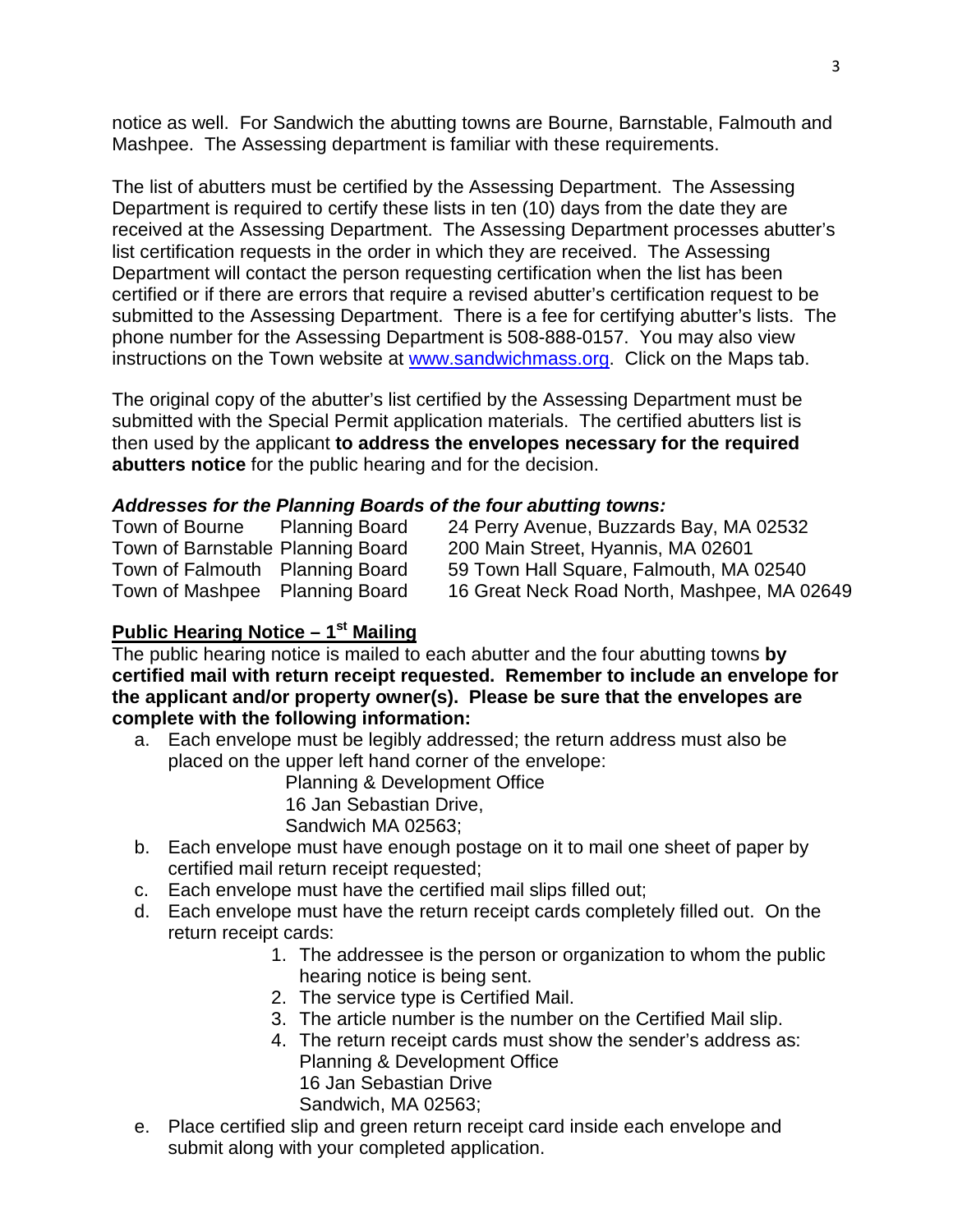notice as well. For Sandwich the abutting towns are Bourne, Barnstable, Falmouth and Mashpee. The Assessing department is familiar with these requirements.

The list of abutters must be certified by the Assessing Department. The Assessing Department is required to certify these lists in ten (10) days from the date they are received at the Assessing Department. The Assessing Department processes abutter's list certification requests in the order in which they are received. The Assessing Department will contact the person requesting certification when the list has been certified or if there are errors that require a revised abutter's certification request to be submitted to the Assessing Department. There is a fee for certifying abutter's lists. The phone number for the Assessing Department is 508-888-0157. You may also view instructions on the Town website at [www.sandwichmass.org.](http://www.sandwichmass.org/) Click on the Maps tab.

The original copy of the abutter's list certified by the Assessing Department must be submitted with the Special Permit application materials. The certified abutters list is then used by the applicant **to address the envelopes necessary for the required abutters notice** for the public hearing and for the decision.

## *Addresses for the Planning Boards of the four abutting towns:*

| Town of Bourne                    | <b>Planning Board</b> | 24 Perry Avenue, Buzzards Bay, MA 02532     |
|-----------------------------------|-----------------------|---------------------------------------------|
| Town of Barnstable Planning Board |                       | 200 Main Street, Hyannis, MA 02601          |
| Town of Falmouth Planning Board   |                       | 59 Town Hall Square, Falmouth, MA 02540     |
| Town of Mashpee Planning Board    |                       | 16 Great Neck Road North, Mashpee, MA 02649 |

## **Public Hearing Notice – 1st Mailing**

The public hearing notice is mailed to each abutter and the four abutting towns **by certified mail with return receipt requested. Remember to include an envelope for the applicant and/or property owner(s). Please be sure that the envelopes are complete with the following information:**

a. Each envelope must be legibly addressed; the return address must also be placed on the upper left hand corner of the envelope:

Planning & Development Office

16 Jan Sebastian Drive,

Sandwich MA 02563;

- b. Each envelope must have enough postage on it to mail one sheet of paper by certified mail return receipt requested;
- c. Each envelope must have the certified mail slips filled out;
- d. Each envelope must have the return receipt cards completely filled out. On the return receipt cards:
	- 1. The addressee is the person or organization to whom the public hearing notice is being sent.
	- 2. The service type is Certified Mail.
	- 3. The article number is the number on the Certified Mail slip.
	- 4. The return receipt cards must show the sender's address as: Planning & Development Office 16 Jan Sebastian Drive Sandwich, MA 02563;
- e. Place certified slip and green return receipt card inside each envelope and submit along with your completed application.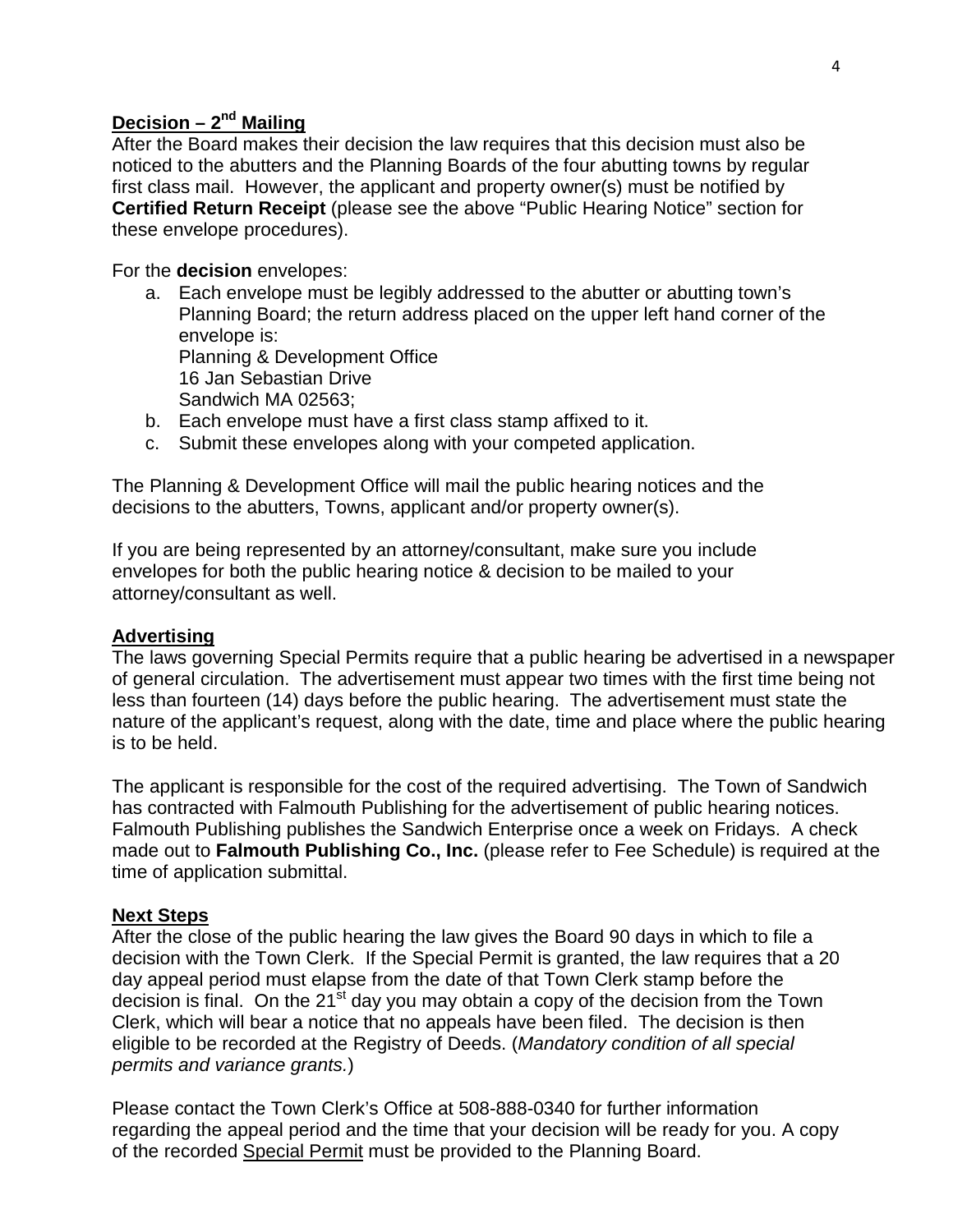## **Decision – 2nd Mailing**

After the Board makes their decision the law requires that this decision must also be noticed to the abutters and the Planning Boards of the four abutting towns by regular first class mail. However, the applicant and property owner(s) must be notified by **Certified Return Receipt** (please see the above "Public Hearing Notice" section for these envelope procedures).

For the **decision** envelopes:

a. Each envelope must be legibly addressed to the abutter or abutting town's Planning Board; the return address placed on the upper left hand corner of the envelope is:

Planning & Development Office 16 Jan Sebastian Drive Sandwich MA 02563;

- b. Each envelope must have a first class stamp affixed to it.
- c. Submit these envelopes along with your competed application.

The Planning & Development Office will mail the public hearing notices and the decisions to the abutters, Towns, applicant and/or property owner(s).

If you are being represented by an attorney/consultant, make sure you include envelopes for both the public hearing notice & decision to be mailed to your attorney/consultant as well.

#### **Advertising**

The laws governing Special Permits require that a public hearing be advertised in a newspaper of general circulation. The advertisement must appear two times with the first time being not less than fourteen (14) days before the public hearing. The advertisement must state the nature of the applicant's request, along with the date, time and place where the public hearing is to be held.

The applicant is responsible for the cost of the required advertising. The Town of Sandwich has contracted with Falmouth Publishing for the advertisement of public hearing notices. Falmouth Publishing publishes the Sandwich Enterprise once a week on Fridays. A check made out to **Falmouth Publishing Co., Inc.** (please refer to Fee Schedule) is required at the time of application submittal.

#### **Next Steps**

After the close of the public hearing the law gives the Board 90 days in which to file a decision with the Town Clerk. If the Special Permit is granted, the law requires that a 20 day appeal period must elapse from the date of that Town Clerk stamp before the decision is final. On the  $21<sup>st</sup>$  day you may obtain a copy of the decision from the Town Clerk, which will bear a notice that no appeals have been filed. The decision is then eligible to be recorded at the Registry of Deeds. (*Mandatory condition of all special permits and variance grants.*)

Please contact the Town Clerk's Office at 508-888-0340 for further information regarding the appeal period and the time that your decision will be ready for you. A copy of the recorded Special Permit must be provided to the Planning Board.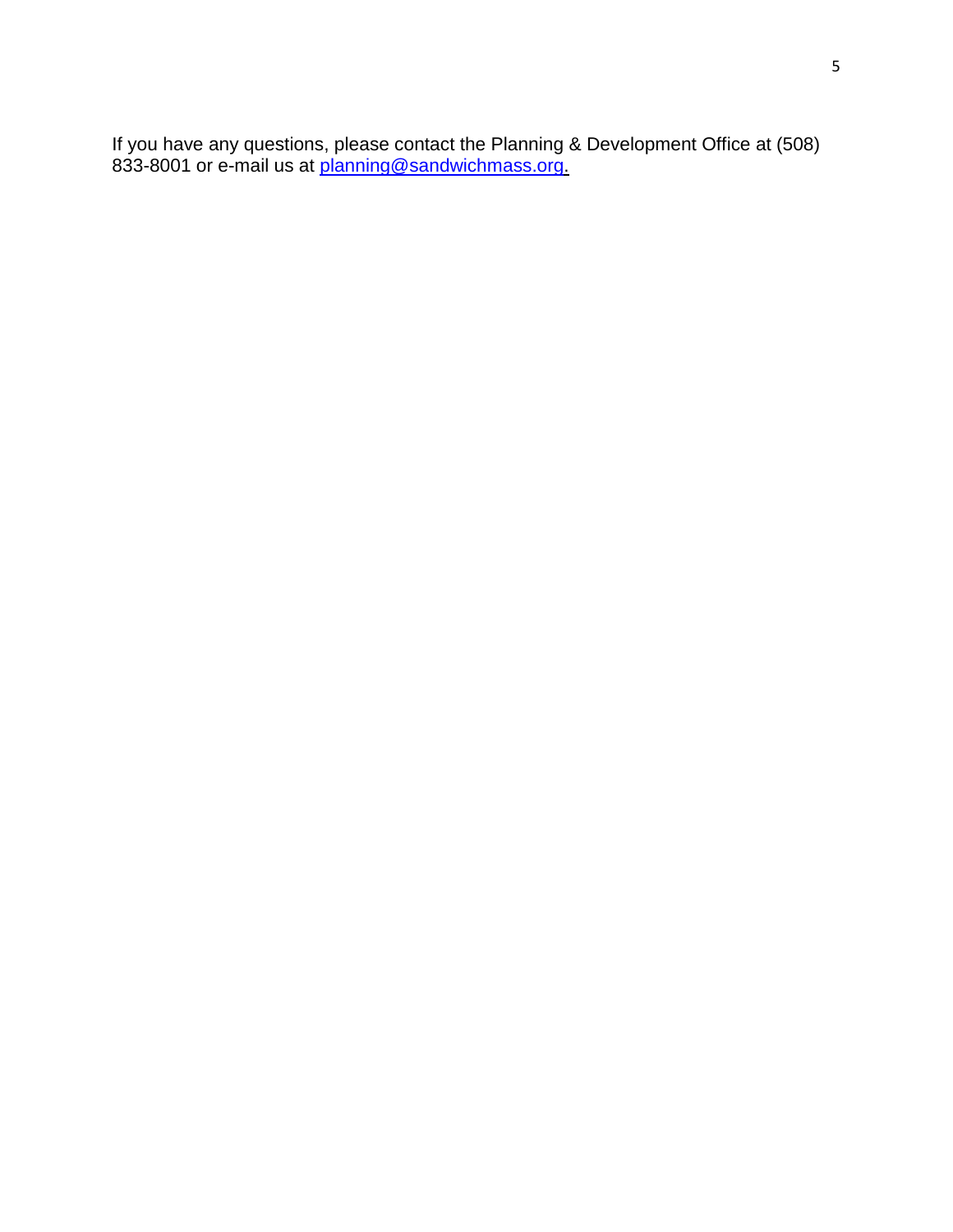If you have any questions, please contact the Planning & Development Office at (508) 833-8001 or e-mail us at <u>planning@sandwichmass.org.</u>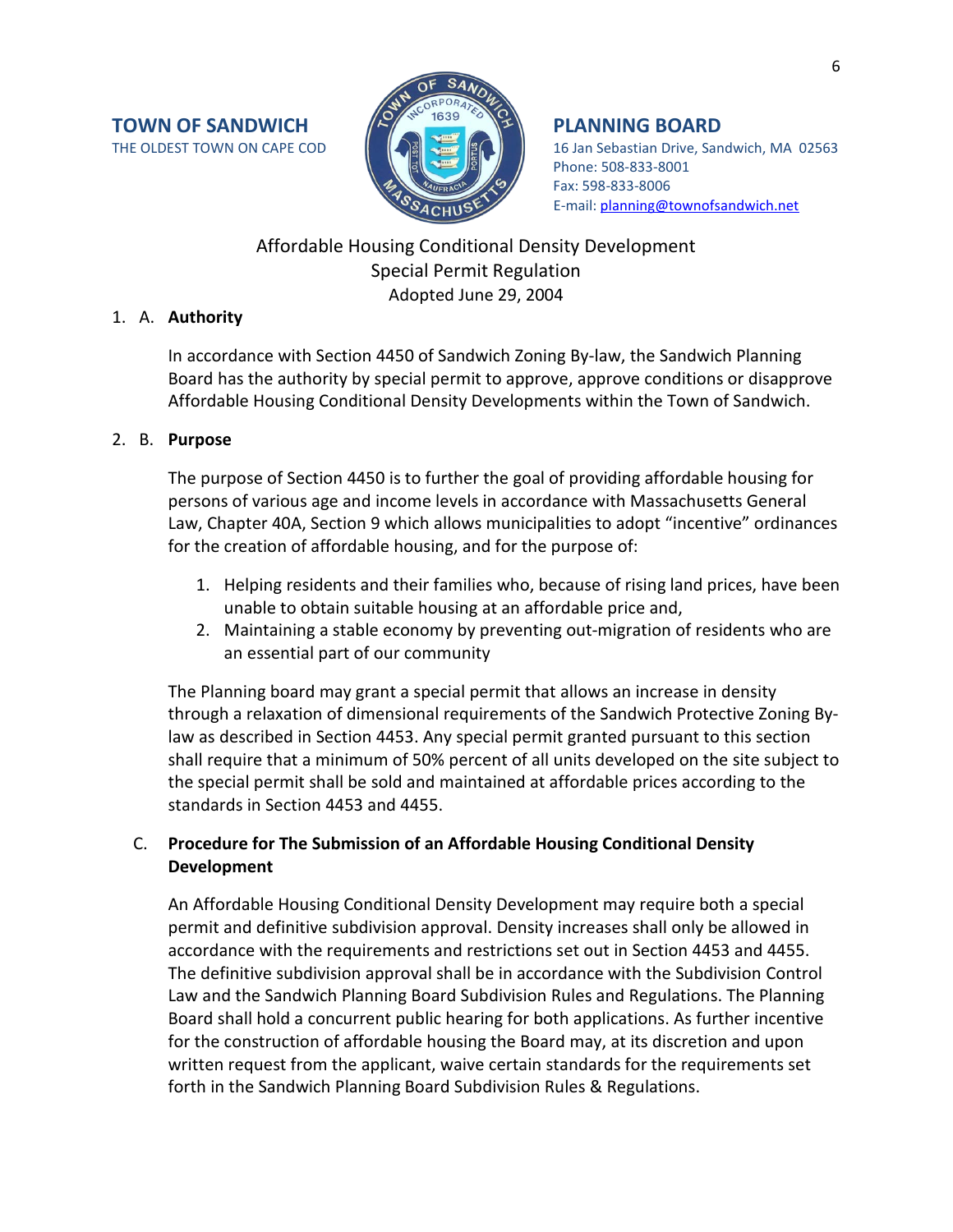

THE OLDEST TOWN ON CAPE COD **16 Jan Strategy (2008)** 16 Jan Sebastian Drive, Sandwich, MA 02563 Phone: 508-833-8001 Fax: 598-833-8006 E-mail: [planning@townofsandwich.net](mailto:planning@townofsandwich.net)

## Affordable Housing Conditional Density Development Special Permit Regulation Adopted June 29, 2004

## 1. A. **Authority**

In accordance with Section 4450 of Sandwich Zoning By-law, the Sandwich Planning Board has the authority by special permit to approve, approve conditions or disapprove Affordable Housing Conditional Density Developments within the Town of Sandwich.

## 2. B. **Purpose**

The purpose of Section 4450 is to further the goal of providing affordable housing for persons of various age and income levels in accordance with Massachusetts General Law, Chapter 40A, Section 9 which allows municipalities to adopt "incentive" ordinances for the creation of affordable housing, and for the purpose of:

- 1. Helping residents and their families who, because of rising land prices, have been unable to obtain suitable housing at an affordable price and,
- 2. Maintaining a stable economy by preventing out-migration of residents who are an essential part of our community

The Planning board may grant a special permit that allows an increase in density through a relaxation of dimensional requirements of the Sandwich Protective Zoning Bylaw as described in Section 4453. Any special permit granted pursuant to this section shall require that a minimum of 50% percent of all units developed on the site subject to the special permit shall be sold and maintained at affordable prices according to the standards in Section 4453 and 4455.

## C. **Procedure for The Submission of an Affordable Housing Conditional Density Development**

An Affordable Housing Conditional Density Development may require both a special permit and definitive subdivision approval. Density increases shall only be allowed in accordance with the requirements and restrictions set out in Section 4453 and 4455. The definitive subdivision approval shall be in accordance with the Subdivision Control Law and the Sandwich Planning Board Subdivision Rules and Regulations. The Planning Board shall hold a concurrent public hearing for both applications. As further incentive for the construction of affordable housing the Board may, at its discretion and upon written request from the applicant, waive certain standards for the requirements set forth in the Sandwich Planning Board Subdivision Rules & Regulations.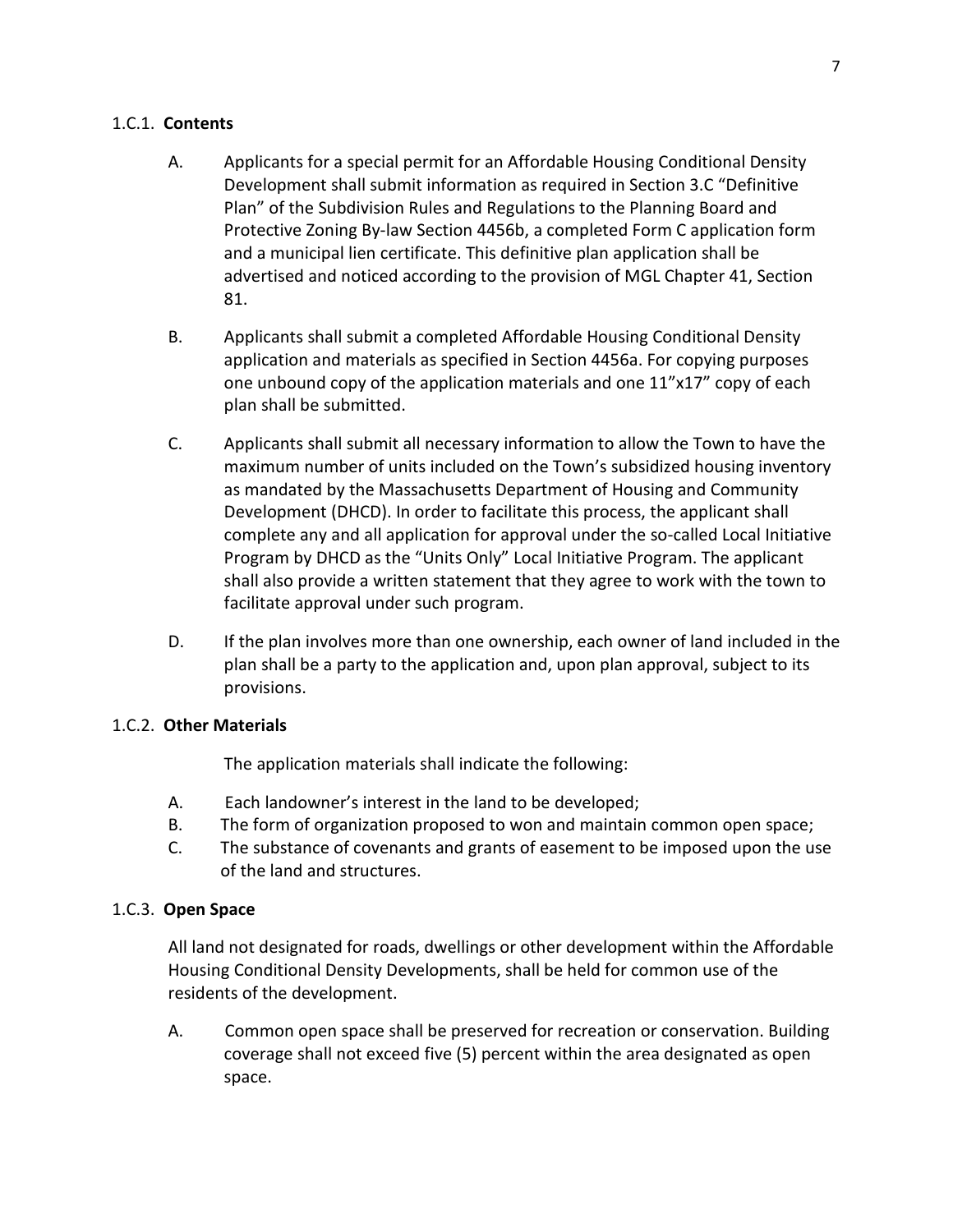## 1.C.1. **Contents**

- A. Applicants for a special permit for an Affordable Housing Conditional Density Development shall submit information as required in Section 3.C "Definitive Plan" of the Subdivision Rules and Regulations to the Planning Board and Protective Zoning By-law Section 4456b, a completed Form C application form and a municipal lien certificate. This definitive plan application shall be advertised and noticed according to the provision of MGL Chapter 41, Section 81.
- B. Applicants shall submit a completed Affordable Housing Conditional Density application and materials as specified in Section 4456a. For copying purposes one unbound copy of the application materials and one 11"x17" copy of each plan shall be submitted.
- C. Applicants shall submit all necessary information to allow the Town to have the maximum number of units included on the Town's subsidized housing inventory as mandated by the Massachusetts Department of Housing and Community Development (DHCD). In order to facilitate this process, the applicant shall complete any and all application for approval under the so-called Local Initiative Program by DHCD as the "Units Only" Local Initiative Program. The applicant shall also provide a written statement that they agree to work with the town to facilitate approval under such program.
- D. If the plan involves more than one ownership, each owner of land included in the plan shall be a party to the application and, upon plan approval, subject to its provisions.

## 1.C.2. **Other Materials**

The application materials shall indicate the following:

- A. Each landowner's interest in the land to be developed;
- B. The form of organization proposed to won and maintain common open space;
- C. The substance of covenants and grants of easement to be imposed upon the use of the land and structures.

## 1.C.3. **Open Space**

All land not designated for roads, dwellings or other development within the Affordable Housing Conditional Density Developments, shall be held for common use of the residents of the development.

A. Common open space shall be preserved for recreation or conservation. Building coverage shall not exceed five (5) percent within the area designated as open space.